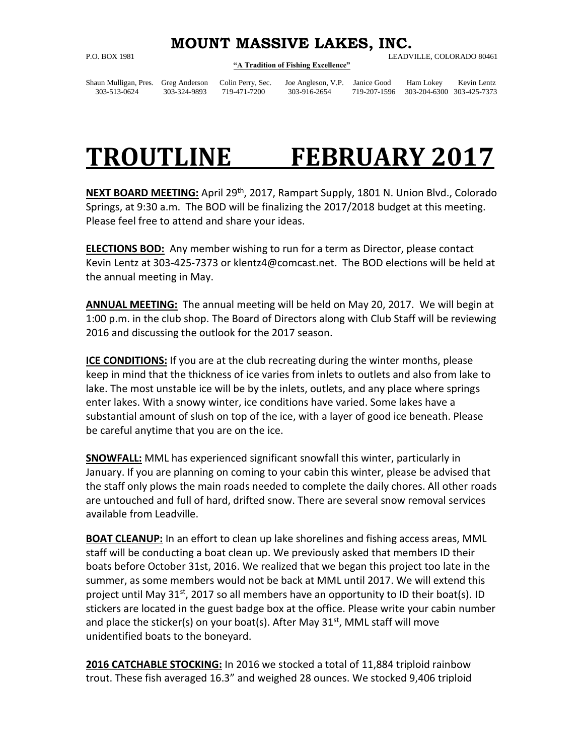## **MOUNT MASSIVE LAKES, INC.**

## **"A Tradition of Fishing Excellence"**

P.O. BOX 1981 LEADVILLE, COLORADO 80461

Shaun Mulligan, Pres. Greg Anderson Colin Perry, Sec. Joe Angleson, V.P. Janice Good Ham Lokey Kevin Lentz 303-513-0624 303-324-9893 719-471-7200 303-916-2654 719-207-1596 303-204-6300 303-425-7373

## **TROUTLINE FEBRUARY 2017**

**NEXT BOARD MEETING:** April 29th, 2017, Rampart Supply, 1801 N. Union Blvd., Colorado Springs, at 9:30 a.m. The BOD will be finalizing the 2017/2018 budget at this meeting. Please feel free to attend and share your ideas.

**ELECTIONS BOD:** Any member wishing to run for a term as Director, please contact Kevin Lentz at 303-425-7373 or klentz4@comcast.net. The BOD elections will be held at the annual meeting in May.

**ANNUAL MEETING:** The annual meeting will be held on May 20, 2017. We will begin at 1:00 p.m. in the club shop. The Board of Directors along with Club Staff will be reviewing 2016 and discussing the outlook for the 2017 season.

**ICE CONDITIONS:** If you are at the club recreating during the winter months, please keep in mind that the thickness of ice varies from inlets to outlets and also from lake to lake. The most unstable ice will be by the inlets, outlets, and any place where springs enter lakes. With a snowy winter, ice conditions have varied. Some lakes have a substantial amount of slush on top of the ice, with a layer of good ice beneath. Please be careful anytime that you are on the ice.

**SNOWFALL:** MML has experienced significant snowfall this winter, particularly in January. If you are planning on coming to your cabin this winter, please be advised that the staff only plows the main roads needed to complete the daily chores. All other roads are untouched and full of hard, drifted snow. There are several snow removal services available from Leadville.

**BOAT CLEANUP:** In an effort to clean up lake shorelines and fishing access areas, MML staff will be conducting a boat clean up. We previously asked that members ID their boats before October 31st, 2016. We realized that we began this project too late in the summer, as some members would not be back at MML until 2017. We will extend this project until May  $31^{st}$ , 2017 so all members have an opportunity to ID their boat(s). ID stickers are located in the guest badge box at the office. Please write your cabin number and place the sticker(s) on your boat(s). After May  $31<sup>st</sup>$ , MML staff will move unidentified boats to the boneyard.

**2016 CATCHABLE STOCKING:** In 2016 we stocked a total of 11,884 triploid rainbow trout. These fish averaged 16.3" and weighed 28 ounces. We stocked 9,406 triploid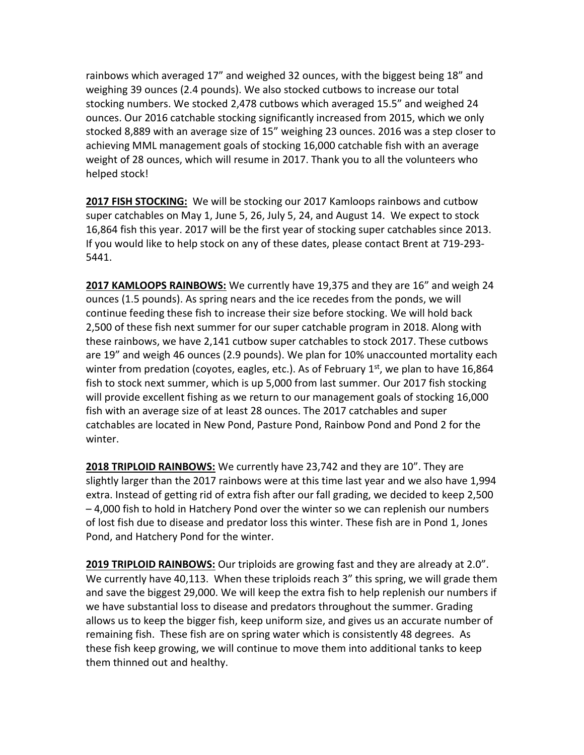rainbows which averaged 17" and weighed 32 ounces, with the biggest being 18" and weighing 39 ounces (2.4 pounds). We also stocked cutbows to increase our total stocking numbers. We stocked 2,478 cutbows which averaged 15.5" and weighed 24 ounces. Our 2016 catchable stocking significantly increased from 2015, which we only stocked 8,889 with an average size of 15" weighing 23 ounces. 2016 was a step closer to achieving MML management goals of stocking 16,000 catchable fish with an average weight of 28 ounces, which will resume in 2017. Thank you to all the volunteers who helped stock!

**2017 FISH STOCKING:** We will be stocking our 2017 Kamloops rainbows and cutbow super catchables on May 1, June 5, 26, July 5, 24, and August 14. We expect to stock 16,864 fish this year. 2017 will be the first year of stocking super catchables since 2013. If you would like to help stock on any of these dates, please contact Brent at 719-293- 5441.

**2017 KAMLOOPS RAINBOWS:** We currently have 19,375 and they are 16" and weigh 24 ounces (1.5 pounds). As spring nears and the ice recedes from the ponds, we will continue feeding these fish to increase their size before stocking. We will hold back 2,500 of these fish next summer for our super catchable program in 2018. Along with these rainbows, we have 2,141 cutbow super catchables to stock 2017. These cutbows are 19" and weigh 46 ounces (2.9 pounds). We plan for 10% unaccounted mortality each winter from predation (coyotes, eagles, etc.). As of February 1<sup>st</sup>, we plan to have 16,864 fish to stock next summer, which is up 5,000 from last summer. Our 2017 fish stocking will provide excellent fishing as we return to our management goals of stocking 16,000 fish with an average size of at least 28 ounces. The 2017 catchables and super catchables are located in New Pond, Pasture Pond, Rainbow Pond and Pond 2 for the winter.

**2018 TRIPLOID RAINBOWS:** We currently have 23,742 and they are 10". They are slightly larger than the 2017 rainbows were at this time last year and we also have 1,994 extra. Instead of getting rid of extra fish after our fall grading, we decided to keep 2,500 – 4,000 fish to hold in Hatchery Pond over the winter so we can replenish our numbers of lost fish due to disease and predator loss this winter. These fish are in Pond 1, Jones Pond, and Hatchery Pond for the winter.

**2019 TRIPLOID RAINBOWS:** Our triploids are growing fast and they are already at 2.0". We currently have 40,113. When these triploids reach 3" this spring, we will grade them and save the biggest 29,000. We will keep the extra fish to help replenish our numbers if we have substantial loss to disease and predators throughout the summer. Grading allows us to keep the bigger fish, keep uniform size, and gives us an accurate number of remaining fish. These fish are on spring water which is consistently 48 degrees. As these fish keep growing, we will continue to move them into additional tanks to keep them thinned out and healthy.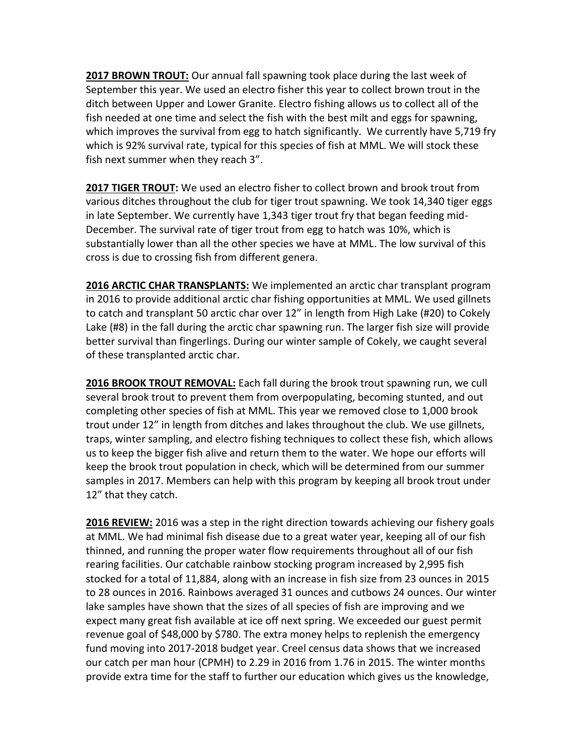**2017 BROWN TROUT:** Our annual fall spawning took place during the last week of September this year. We used an electro fisher this year to collect brown trout in the ditch between Upper and Lower Granite. Electro fishing allows us to collect all of the fish needed at one time and select the fish with the best milt and eggs for spawning, which improves the survival from egg to hatch significantly. We currently have 5,719 fry which is 92% survival rate, typical for this species of fish at MML. We will stock these fish next summer when they reach 3".

**2017 TIGER TROUT:** We used an electro fisher to collect brown and brook trout from various ditches throughout the club for tiger trout spawning. We took 14,340 tiger eggs in late September. We currently have 1,343 tiger trout fry that began feeding mid-December. The survival rate of tiger trout from egg to hatch was 10%, which is substantially lower than all the other species we have at MML. The low survival of this cross is due to crossing fish from different genera.

**2016 ARCTIC CHAR TRANSPLANTS:** We implemented an arctic char transplant program in 2016 to provide additional arctic char fishing opportunities at MML. We used gillnets to catch and transplant 50 arctic char over 12" in length from High Lake (#20) to Cokely Lake (#8) in the fall during the arctic char spawning run. The larger fish size will provide better survival than fingerlings. During our winter sample of Cokely, we caught several of these transplanted arctic char.

**2016 BROOK TROUT REMOVAL:** Each fall during the brook trout spawning run, we cull several brook trout to prevent them from overpopulating, becoming stunted, and out completing other species of fish at MML. This year we removed close to 1,000 brook trout under 12" in length from ditches and lakes throughout the club. We use gillnets, traps, winter sampling, and electro fishing techniques to collect these fish, which allows us to keep the bigger fish alive and return them to the water. We hope our efforts will keep the brook trout population in check, which will be determined from our summer samples in 2017. Members can help with this program by keeping all brook trout under 12" that they catch.

**2016 REVIEW:** 2016 was a step in the right direction towards achieving our fishery goals at MML. We had minimal fish disease due to a great water year, keeping all of our fish thinned, and running the proper water flow requirements throughout all of our fish rearing facilities. Our catchable rainbow stocking program increased by 2,995 fish stocked for a total of 11,884, along with an increase in fish size from 23 ounces in 2015 to 28 ounces in 2016. Rainbows averaged 31 ounces and cutbows 24 ounces. Our winter lake samples have shown that the sizes of all species of fish are improving and we expect many great fish available at ice off next spring. We exceeded our guest permit revenue goal of \$48,000 by \$780. The extra money helps to replenish the emergency fund moving into 2017-2018 budget year. Creel census data shows that we increased our catch per man hour (CPMH) to 2.29 in 2016 from 1.76 in 2015. The winter months provide extra time for the staff to further our education which gives us the knowledge,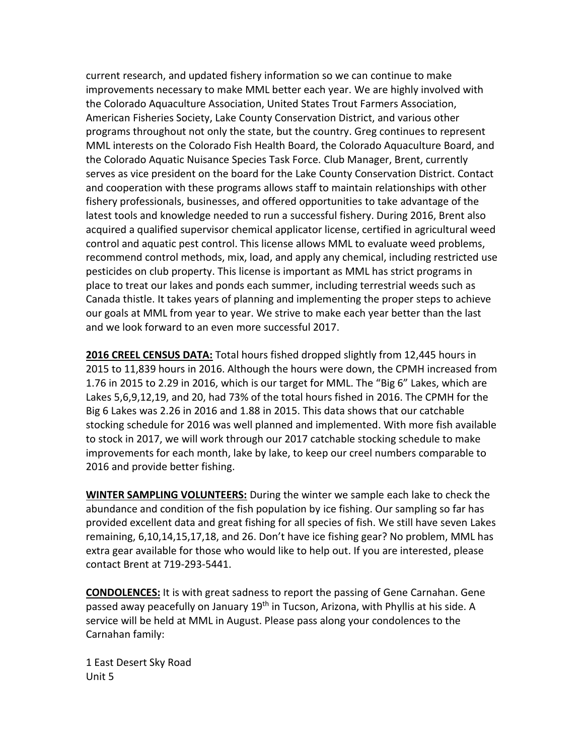current research, and updated fishery information so we can continue to make improvements necessary to make MML better each year. We are highly involved with the Colorado Aquaculture Association, United States Trout Farmers Association, American Fisheries Society, Lake County Conservation District, and various other programs throughout not only the state, but the country. Greg continues to represent MML interests on the Colorado Fish Health Board, the Colorado Aquaculture Board, and the Colorado Aquatic Nuisance Species Task Force. Club Manager, Brent, currently serves as vice president on the board for the Lake County Conservation District. Contact and cooperation with these programs allows staff to maintain relationships with other fishery professionals, businesses, and offered opportunities to take advantage of the latest tools and knowledge needed to run a successful fishery. During 2016, Brent also acquired a qualified supervisor chemical applicator license, certified in agricultural weed control and aquatic pest control. This license allows MML to evaluate weed problems, recommend control methods, mix, load, and apply any chemical, including restricted use pesticides on club property. This license is important as MML has strict programs in place to treat our lakes and ponds each summer, including terrestrial weeds such as Canada thistle. It takes years of planning and implementing the proper steps to achieve our goals at MML from year to year. We strive to make each year better than the last and we look forward to an even more successful 2017.

**2016 CREEL CENSUS DATA:** Total hours fished dropped slightly from 12,445 hours in 2015 to 11,839 hours in 2016. Although the hours were down, the CPMH increased from 1.76 in 2015 to 2.29 in 2016, which is our target for MML. The "Big 6" Lakes, which are Lakes 5,6,9,12,19, and 20, had 73% of the total hours fished in 2016. The CPMH for the Big 6 Lakes was 2.26 in 2016 and 1.88 in 2015. This data shows that our catchable stocking schedule for 2016 was well planned and implemented. With more fish available to stock in 2017, we will work through our 2017 catchable stocking schedule to make improvements for each month, lake by lake, to keep our creel numbers comparable to 2016 and provide better fishing.

**WINTER SAMPLING VOLUNTEERS:** During the winter we sample each lake to check the abundance and condition of the fish population by ice fishing. Our sampling so far has provided excellent data and great fishing for all species of fish. We still have seven Lakes remaining, 6,10,14,15,17,18, and 26. Don't have ice fishing gear? No problem, MML has extra gear available for those who would like to help out. If you are interested, please contact Brent at 719-293-5441.

**CONDOLENCES:** It is with great sadness to report the passing of Gene Carnahan. Gene passed away peacefully on January 19<sup>th</sup> in Tucson, Arizona, with Phyllis at his side. A service will be held at MML in August. Please pass along your condolences to the Carnahan family:

1 East Desert Sky Road Unit 5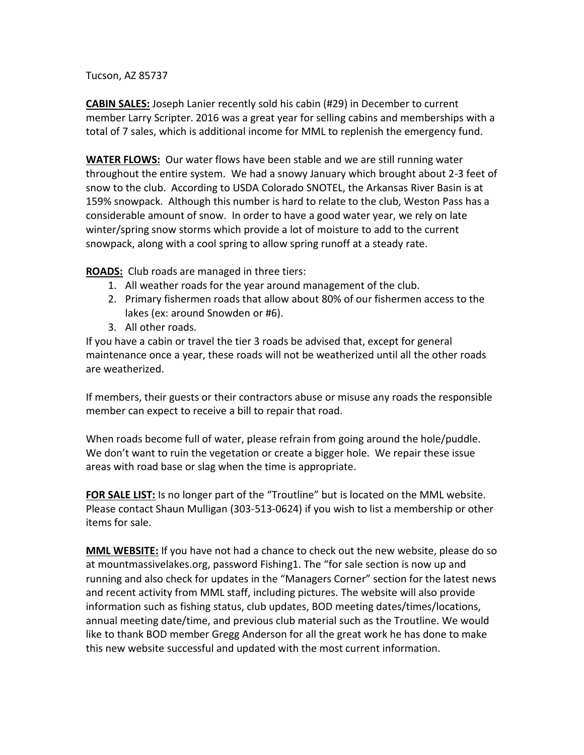Tucson, AZ 85737

**CABIN SALES:** Joseph Lanier recently sold his cabin (#29) in December to current member Larry Scripter. 2016 was a great year for selling cabins and memberships with a total of 7 sales, which is additional income for MML to replenish the emergency fund.

**WATER FLOWS:** Our water flows have been stable and we are still running water throughout the entire system. We had a snowy January which brought about 2-3 feet of snow to the club. According to USDA Colorado SNOTEL, the Arkansas River Basin is at 159% snowpack. Although this number is hard to relate to the club, Weston Pass has a considerable amount of snow. In order to have a good water year, we rely on late winter/spring snow storms which provide a lot of moisture to add to the current snowpack, along with a cool spring to allow spring runoff at a steady rate.

**ROADS:** Club roads are managed in three tiers:

- 1. All weather roads for the year around management of the club.
- 2. Primary fishermen roads that allow about 80% of our fishermen access to the lakes (ex: around Snowden or #6).
- 3. All other roads.

If you have a cabin or travel the tier 3 roads be advised that, except for general maintenance once a year, these roads will not be weatherized until all the other roads are weatherized.

If members, their guests or their contractors abuse or misuse any roads the responsible member can expect to receive a bill to repair that road.

When roads become full of water, please refrain from going around the hole/puddle. We don't want to ruin the vegetation or create a bigger hole. We repair these issue areas with road base or slag when the time is appropriate.

**FOR SALE LIST:** Is no longer part of the "Troutline" but is located on the MML website. Please contact Shaun Mulligan (303-513-0624) if you wish to list a membership or other items for sale.

**MML WEBSITE:** If you have not had a chance to check out the new website, please do so at mountmassivelakes.org, password Fishing1. The "for sale section is now up and running and also check for updates in the "Managers Corner" section for the latest news and recent activity from MML staff, including pictures. The website will also provide information such as fishing status, club updates, BOD meeting dates/times/locations, annual meeting date/time, and previous club material such as the Troutline. We would like to thank BOD member Gregg Anderson for all the great work he has done to make this new website successful and updated with the most current information.